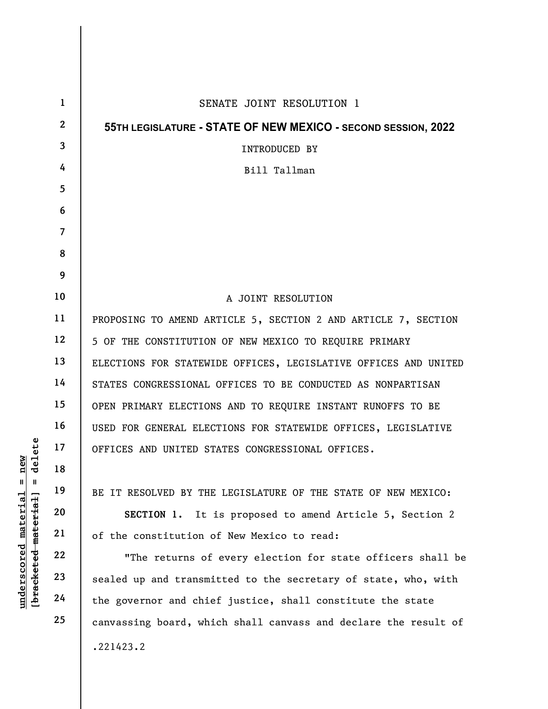|                                   | $\mathbf{1}$   | SENATE JOINT RESOLUTION 1                                       |
|-----------------------------------|----------------|-----------------------------------------------------------------|
|                                   | $\mathbf{2}$   | 55TH LEGISLATURE - STATE OF NEW MEXICO - SECOND SESSION, 2022   |
|                                   | 3              | <b>INTRODUCED BY</b>                                            |
|                                   | 4              | Bill Tallman                                                    |
|                                   | 5              |                                                                 |
|                                   | 6              |                                                                 |
|                                   | $\overline{7}$ |                                                                 |
|                                   | 8              |                                                                 |
|                                   | 9              |                                                                 |
|                                   | 10             | A JOINT RESOLUTION                                              |
|                                   | 11             | PROPOSING TO AMEND ARTICLE 5, SECTION 2 AND ARTICLE 7, SECTION  |
|                                   | 12             | 5 OF THE CONSTITUTION OF NEW MEXICO TO REQUIRE PRIMARY          |
|                                   | 13             | ELECTIONS FOR STATEWIDE OFFICES, LEGISLATIVE OFFICES AND UNITED |
|                                   | 14             | STATES CONGRESSIONAL OFFICES TO BE CONDUCTED AS NONPARTISAN     |
|                                   | 15             | OPEN PRIMARY ELECTIONS AND TO REQUIRE INSTANT RUNOFFS TO BE     |
|                                   | 16             | USED FOR GENERAL ELECTIONS FOR STATEWIDE OFFICES, LEGISLATIVE   |
| elete                             | 17             | OFFICES AND UNITED STATES CONGRESSIONAL OFFICES.                |
| ew<br>디<br>᠊ᢦ                     | 18             |                                                                 |
| $\mathsf{I}$<br>Ш                 | 19             | BE IT RESOLVED BY THE LEGISLATURE OF THE STATE OF NEW MEXICO:   |
|                                   | 20             | SECTION 1. It is proposed to amend Article 5, Section 2         |
|                                   | 21             | of the constitution of New Mexico to read:                      |
|                                   | 22             | "The returns of every election for state officers shall be      |
| [ <del>bracketed material</del> ] | 23             | sealed up and transmitted to the secretary of state, who, with  |
| $underscored$ material            | 24             | the governor and chief justice, shall constitute the state      |
|                                   | 25             | canvassing board, which shall canvass and declare the result of |
|                                   |                | .221423.2                                                       |
|                                   |                |                                                                 |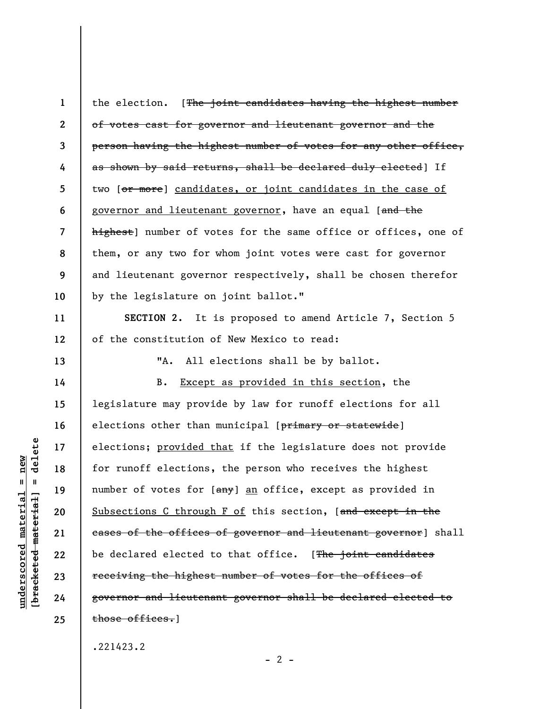1 2 3 4 5 6 7 8 9 10 the election. [The joint candidates having the highest number of votes cast for governor and lieutenant governor and the person having the highest number of votes for any other office, as shown by said returns, shall be declared duly elected] If two [or more] candidates, or joint candidates in the case of governor and lieutenant governor, have an equal [and the highest] number of votes for the same office or offices, one of them, or any two for whom joint votes were cast for governor and lieutenant governor respectively, shall be chosen therefor by the legislature on joint ballot."

SECTION 2. It is proposed to amend Article 7, Section 5 of the constitution of New Mexico to read:

"A. All elections shall be by ballot.

under 17<br>
= 18<br>
= 18<br>
= 19<br>
= 19<br>
= 19<br>
= 19<br>
= 19<br>
= 19<br>
= 19<br>
= 19<br>
= 19<br>
= 19<br>
= 19<br>
= 19<br>
= 19<br>
= 19<br>
= 19<br>
= 19<br>
= 19<br>
= 19<br>
= 19<br>
= 19<br>
21<br>
= 19<br>
= 19<br>
= 19<br>
= 19<br>
= 19<br>
= 19<br>
= 19<br>
= 19<br>
= 19<br>
= 19<br>
= 19<br>
= 19<br>
= 19 B. Except as provided in this section, the legislature may provide by law for runoff elections for all elections other than municipal [primary or statewide] elections; provided that if the legislature does not provide for runoff elections, the person who receives the highest number of votes for [any] an office, except as provided in Subsections C through F of this section, [and except in the cases of the offices of governor and lieutenant governor] shall be declared elected to that office. [The joint candidates receiving the highest number of votes for the offices of governor and lieutenant governor shall be declared elected to those offices.]

.221423.2

 $- 2 -$ 

11

12

13

14

15

16

17

18

19

20

21

22

23

24

25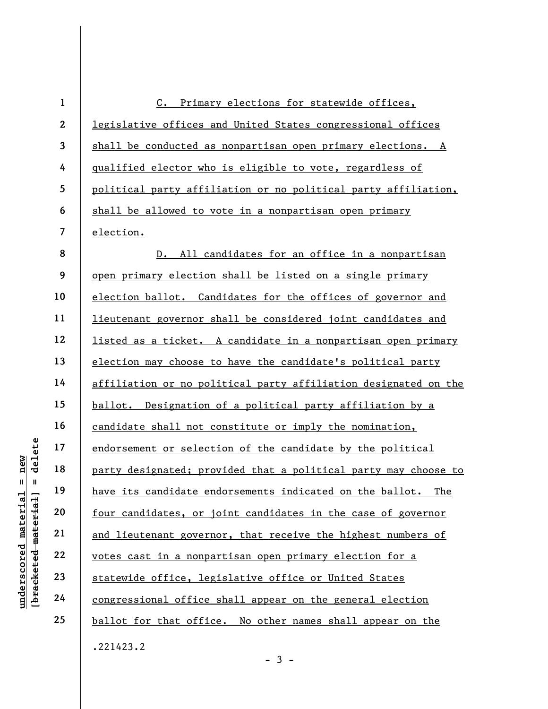|                                             | $\mathbf{1}$             | C. Primary elections for statewide offices,                      |  |  |  |
|---------------------------------------------|--------------------------|------------------------------------------------------------------|--|--|--|
|                                             | $\boldsymbol{2}$         | legislative offices and United States congressional offices      |  |  |  |
|                                             | 3                        | shall be conducted as nonpartisan open primary elections. A      |  |  |  |
|                                             | 4                        | qualified elector who is eligible to vote, regardless of         |  |  |  |
|                                             | 5                        | political party affiliation or no political party affiliation,   |  |  |  |
|                                             | 6                        | shall be allowed to vote in a nonpartisan open primary           |  |  |  |
|                                             | $\overline{\mathcal{L}}$ | election.                                                        |  |  |  |
|                                             | 8                        | All candidates for an office in a nonpartisan<br>$D_{\bullet}$   |  |  |  |
|                                             | 9                        | open primary election shall be listed on a single primary        |  |  |  |
|                                             | 10                       | election ballot. Candidates for the offices of governor and      |  |  |  |
|                                             | 11                       | lieutenant governor shall be considered joint candidates and     |  |  |  |
|                                             | 12                       | listed as a ticket. A candidate in a nonpartisan open primary    |  |  |  |
|                                             | 13                       | election may choose to have the candidate's political party      |  |  |  |
|                                             | 14                       | affiliation or no political party affiliation designated on the  |  |  |  |
|                                             | 15                       | ballot. Designation of a political party affiliation by a        |  |  |  |
|                                             | 16                       | candidate shall not constitute or imply the nomination,          |  |  |  |
| delete                                      | 17                       | endorsement or selection of the candidate by the political       |  |  |  |
| new                                         | 18                       | party designated; provided that a political party may choose to  |  |  |  |
| $   \cdot   $                               | 19                       | have its candidate endorsements indicated on the ballot.<br>The  |  |  |  |
|                                             | 20                       | four candidates, or joint candidates in the case of governor     |  |  |  |
| underscored material<br>[bracketed material | 21                       | and lieutenant governor, that receive the highest numbers of     |  |  |  |
|                                             | 22                       | votes cast in a nonpartisan open primary election for a          |  |  |  |
|                                             | 23                       | statewide office, legislative office or United States            |  |  |  |
|                                             | 24                       | <u>congressional office shall appear on the general election</u> |  |  |  |
|                                             | 25                       | ballot for that office. No other names shall appear on the       |  |  |  |
|                                             |                          | .221423.2                                                        |  |  |  |

- 3 -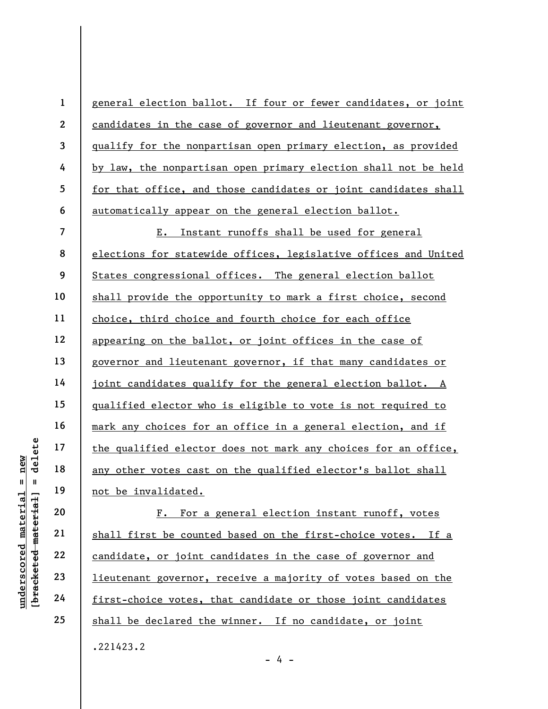|                                    |        | $\mathbf{1}$             | general election ballot. If four or fewer candidates, or joint      |
|------------------------------------|--------|--------------------------|---------------------------------------------------------------------|
|                                    |        | $\mathbf{2}$             | candidates in the case of governor and lieutenant governor,         |
|                                    |        | $\overline{\mathbf{3}}$  | qualify for the nonpartisan open primary election, as provided      |
|                                    |        | 4                        | by law, the nonpartisan open primary election shall not be held     |
|                                    |        | 5                        | for that office, and those candidates or joint candidates shall     |
|                                    |        | 6                        | automatically appear on the general election ballot.                |
|                                    |        | $\overline{\mathcal{L}}$ | Instant runoffs shall be used for general<br>E.                     |
|                                    |        | 8                        | elections for statewide offices, legislative offices and United     |
|                                    |        | 9                        | States congressional offices. The general election ballot           |
|                                    |        | 10                       | shall provide the opportunity to mark a first choice, second        |
|                                    |        | 11                       | choice, third choice and fourth choice for each office              |
|                                    |        | 12                       | appearing on the ballot, or joint offices in the case of            |
|                                    |        | 13                       | governor and lieutenant governor, if that many candidates or        |
|                                    |        | 14                       | joint candidates qualify for the general election ballot. A         |
|                                    |        | 15                       | <u>qualified elector who is eligible to vote is not required to</u> |
|                                    |        | 16                       | mark any choices for an office in a general election, and if        |
|                                    | delete | 17                       | the qualified elector does not mark any choices for an office,      |
| new                                |        | 18                       | any other votes cast on the qualified elector's ballot shall        |
| $\mathbf{u}$                       | - II   | 19                       | not be invalidated.                                                 |
| materia                            |        | 20                       | For a general election instant runoff, votes<br>$\mathbf{F}$ .      |
|                                    |        | 21                       | shall first be counted based on the first-choice votes. If a        |
| [bracketed material<br>underscored |        | 22                       | candidate, or joint candidates in the case of governor and          |
|                                    |        | 23                       | lieutenant governor, receive a majority of votes based on the       |
|                                    |        | 24                       | first-choice votes, that candidate or those joint candidates        |

candidate, or joint candidates in the case of governor and lieutenant governor, receive a majority of votes based on the first-choice votes, that candidate or those joint candidates shall be declared the winner. If no candidate, or joint .221423.2

- 4 -

25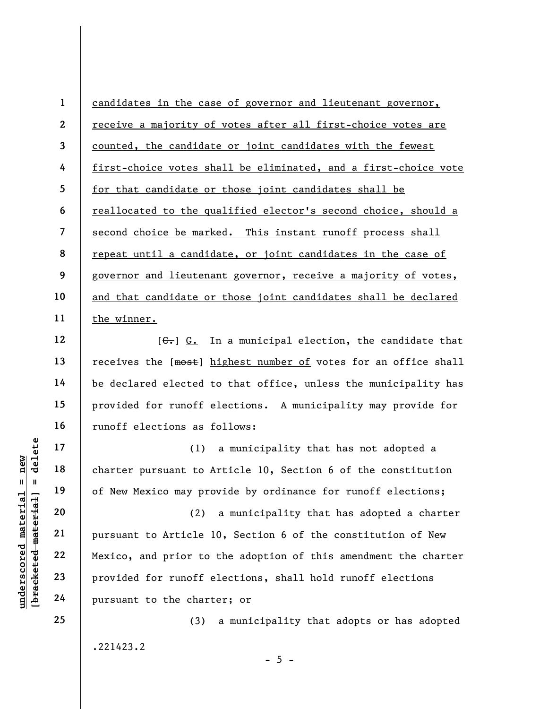1 2 3 4 5 6 7 8 9 10 11 candidates in the case of governor and lieutenant governor, receive a majority of votes after all first-choice votes are counted, the candidate or joint candidates with the fewest first-choice votes shall be eliminated, and a first-choice vote for that candidate or those joint candidates shall be reallocated to the qualified elector's second choice, should a second choice be marked. This instant runoff process shall repeat until a candidate, or joint candidates in the case of governor and lieutenant governor, receive a majority of votes, and that candidate or those joint candidates shall be declared the winner.

 $[G<sub>z</sub>]$  G. In a municipal election, the candidate that receives the [most] highest number of votes for an office shall be declared elected to that office, unless the municipality has provided for runoff elections. A municipality may provide for runoff elections as follows:

(1) a municipality that has not adopted a charter pursuant to Article 10, Section 6 of the constitution of New Mexico may provide by ordinance for runoff elections;

UNDERETRIES THE MATHEM 19<br>
UNDERETRIES 19<br>
UNDERETRIES 19<br>
UNDERETRIES 19<br>
UNDERETRIES 20<br>
21<br>
UNDERETRIES 22<br>
23<br>
PURSIAN DERIGNATION 23<br>
PURSIAN PROVIDED for runoff e<br>
24<br>
PURSIAN DERIGNATION PROVIDED 19<br>
PURSIAN PROVIDE (2) a municipality that has adopted a charter pursuant to Article 10, Section 6 of the constitution of New Mexico, and prior to the adoption of this amendment the charter provided for runoff elections, shall hold runoff elections pursuant to the charter; or

 $- 5 -$ 

.221423.2

(3) a municipality that adopts or has adopted

12

13

14

15

16

17

18

19

20

21

22

23

24

25